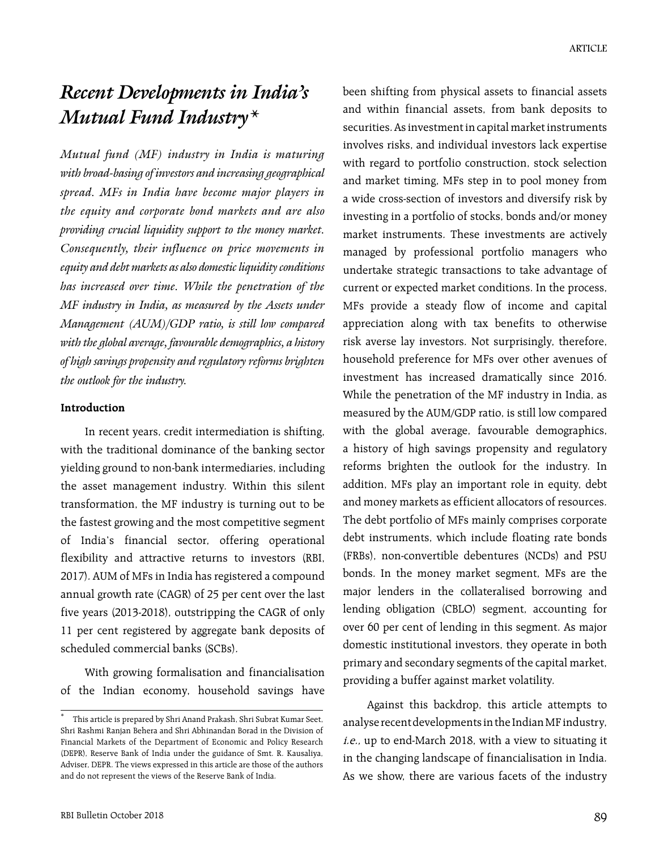# *Recent Developments in India's Mutual Fund Industry\**

*Mutual fund (MF) industry in India is maturing with broad-basing of investors and increasing geographical spread. MFs in India have become major players in the equity and corporate bond markets and are also providing crucial liquidity support to the money market. Consequently, their influence on price movements in equity and debt markets as also domestic liquidity conditions has increased over time. While the penetration of the MF industry in India, as measured by the Assets under Management (AUM)/GDP ratio, is still low compared with the global average, favourable demographics, a history of high savings propensity and regulatory reforms brighten the outlook for the industry.*

#### **Introduction**

In recent years, credit intermediation is shifting, with the traditional dominance of the banking sector yielding ground to non-bank intermediaries, including the asset management industry. Within this silent transformation, the MF industry is turning out to be the fastest growing and the most competitive segment of India's financial sector, offering operational flexibility and attractive returns to investors (RBI, 2017). AUM of MFs in India has registered a compound annual growth rate (CAGR) of 25 per cent over the last five years (2013-2018), outstripping the CAGR of only 11 per cent registered by aggregate bank deposits of scheduled commercial banks (SCBs).

With growing formalisation and financialisation of the Indian economy, household savings have been shifting from physical assets to financial assets and within financial assets, from bank deposits to securities. As investment in capital market instruments involves risks, and individual investors lack expertise with regard to portfolio construction, stock selection and market timing, MFs step in to pool money from a wide cross-section of investors and diversify risk by investing in a portfolio of stocks, bonds and/or money market instruments. These investments are actively managed by professional portfolio managers who undertake strategic transactions to take advantage of current or expected market conditions. In the process, MFs provide a steady flow of income and capital appreciation along with tax benefits to otherwise risk averse lay investors. Not surprisingly, therefore, household preference for MFs over other avenues of investment has increased dramatically since 2016. While the penetration of the MF industry in India, as measured by the AUM/GDP ratio, is still low compared with the global average, favourable demographics, a history of high savings propensity and regulatory reforms brighten the outlook for the industry. In addition, MFs play an important role in equity, debt and money markets as efficient allocators of resources. The debt portfolio of MFs mainly comprises corporate debt instruments, which include floating rate bonds (FRBs), non-convertible debentures (NCDs) and PSU bonds. In the money market segment, MFs are the major lenders in the collateralised borrowing and lending obligation (CBLO) segment, accounting for over 60 per cent of lending in this segment. As major domestic institutional investors, they operate in both primary and secondary segments of the capital market, providing a buffer against market volatility.

Against this backdrop, this article attempts to analyse recent developments in the Indian MF industry, i.e., up to end-March 2018, with a view to situating it in the changing landscape of financialisation in India. As we show, there are various facets of the industry

This article is prepared by Shri Anand Prakash, Shri Subrat Kumar Seet, Shri Rashmi Ranjan Behera and Shri Abhinandan Borad in the Division of Financial Markets of the Department of Economic and Policy Research (DEPR), Reserve Bank of India under the guidance of Smt. R. Kausaliya, Adviser, DEPR. The views expressed in this article are those of the authors and do not represent the views of the Reserve Bank of India.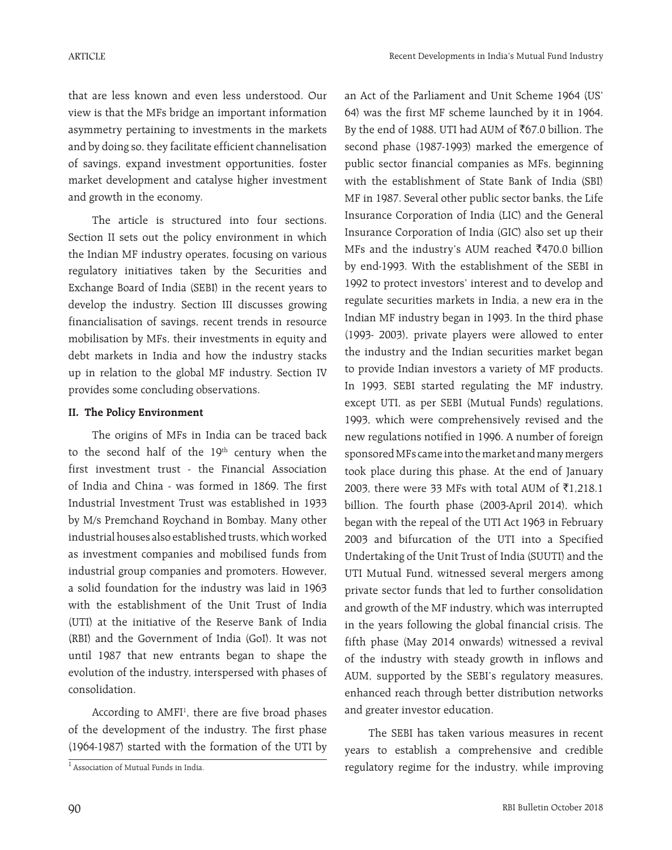that are less known and even less understood. Our view is that the MFs bridge an important information asymmetry pertaining to investments in the markets and by doing so, they facilitate efficient channelisation of savings, expand investment opportunities, foster market development and catalyse higher investment and growth in the economy.

The article is structured into four sections. Section II sets out the policy environment in which the Indian MF industry operates, focusing on various regulatory initiatives taken by the Securities and Exchange Board of India (SEBI) in the recent years to develop the industry. Section III discusses growing financialisation of savings, recent trends in resource mobilisation by MFs, their investments in equity and debt markets in India and how the industry stacks up in relation to the global MF industry. Section IV provides some concluding observations.

## **II. The Policy Environment**

The origins of MFs in India can be traced back to the second half of the 19<sup>th</sup> century when the first investment trust - the Financial Association of India and China - was formed in 1869. The first Industrial Investment Trust was established in 1933 by M/s Premchand Roychand in Bombay. Many other industrial houses also established trusts, which worked as investment companies and mobilised funds from industrial group companies and promoters. However, a solid foundation for the industry was laid in 1963 with the establishment of the Unit Trust of India (UTI) at the initiative of the Reserve Bank of India (RBI) and the Government of India (GoI). It was not until 1987 that new entrants began to shape the evolution of the industry, interspersed with phases of consolidation.

According to AMFI<sup>1</sup>, there are five broad phases of the development of the industry. The first phase (1964-1987) started with the formation of the UTI by

an Act of the Parliament and Unit Scheme 1964 (US' 64) was the first MF scheme launched by it in 1964. By the end of 1988, UTI had AUM of  $\bar{x}$ 67.0 billion. The second phase (1987-1993) marked the emergence of public sector financial companies as MFs, beginning with the establishment of State Bank of India (SBI) MF in 1987. Several other public sector banks, the Life Insurance Corporation of India (LIC) and the General Insurance Corporation of India (GIC) also set up their MFs and the industry's AUM reached  $\bar{z}$ 470.0 billion by end-1993. With the establishment of the SEBI in 1992 to protect investors' interest and to develop and regulate securities markets in India, a new era in the Indian MF industry began in 1993. In the third phase (1993- 2003), private players were allowed to enter the industry and the Indian securities market began to provide Indian investors a variety of MF products. In 1993, SEBI started regulating the MF industry, except UTI, as per SEBI (Mutual Funds) regulations, 1993, which were comprehensively revised and the new regulations notified in 1996. A number of foreign sponsored MFs came into the market and many mergers took place during this phase. At the end of January 2003, there were 33 MFs with total AUM of  $\bar{x}$ 1,218.1 billion. The fourth phase (2003-April 2014), which began with the repeal of the UTI Act 1963 in February 2003 and bifurcation of the UTI into a Specified Undertaking of the Unit Trust of India (SUUTI) and the UTI Mutual Fund, witnessed several mergers among private sector funds that led to further consolidation and growth of the MF industry, which was interrupted in the years following the global financial crisis. The fifth phase (May 2014 onwards) witnessed a revival of the industry with steady growth in inflows and AUM, supported by the SEBI's regulatory measures, enhanced reach through better distribution networks and greater investor education.

The SEBI has taken various measures in recent years to establish a comprehensive and credible  $\frac{1}{1}$  Association of Mutual Funds in India.  $\qquad \qquad$  regulatory regime for the industry, while improving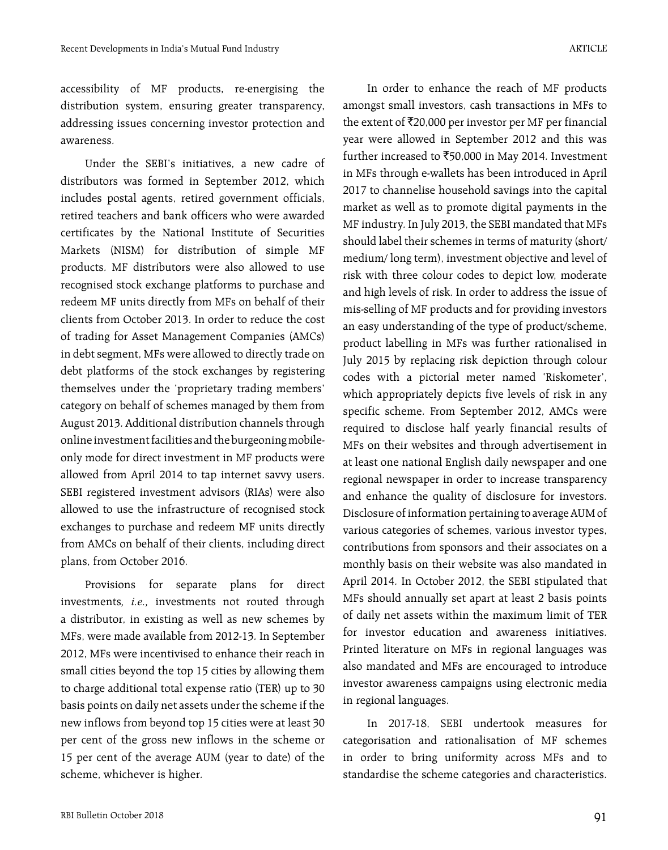accessibility of MF products, re-energising the distribution system, ensuring greater transparency, addressing issues concerning investor protection and awareness.

Under the SEBI's initiatives, a new cadre of distributors was formed in September 2012, which includes postal agents, retired government officials, retired teachers and bank officers who were awarded certificates by the National Institute of Securities Markets (NISM) for distribution of simple MF products. MF distributors were also allowed to use recognised stock exchange platforms to purchase and redeem MF units directly from MFs on behalf of their clients from October 2013. In order to reduce the cost of trading for Asset Management Companies (AMCs) in debt segment, MFs were allowed to directly trade on debt platforms of the stock exchanges by registering themselves under the 'proprietary trading members' category on behalf of schemes managed by them from August 2013. Additional distribution channels through online investment facilities and the burgeoning mobileonly mode for direct investment in MF products were allowed from April 2014 to tap internet savvy users. SEBI registered investment advisors (RIAs) were also allowed to use the infrastructure of recognised stock exchanges to purchase and redeem MF units directly from AMCs on behalf of their clients, including direct plans, from October 2016.

Provisions for separate plans for direct investments*, i.e.,* investments not routed through a distributor, in existing as well as new schemes by MFs, were made available from 2012-13. In September 2012, MFs were incentivised to enhance their reach in small cities beyond the top 15 cities by allowing them to charge additional total expense ratio (TER) up to 30 basis points on daily net assets under the scheme if the new inflows from beyond top 15 cities were at least 30 per cent of the gross new inflows in the scheme or 15 per cent of the average AUM (year to date) of the scheme, whichever is higher.

In order to enhance the reach of MF products amongst small investors, cash transactions in MFs to the extent of  $\bar{\tau}$ 20,000 per investor per MF per financial year were allowed in September 2012 and this was further increased to  $\text{\textsterling}50,000$  in May 2014. Investment in MFs through e-wallets has been introduced in April 2017 to channelise household savings into the capital market as well as to promote digital payments in the MF industry. In July 2013, the SEBI mandated that MFs should label their schemes in terms of maturity (short/ medium/ long term), investment objective and level of risk with three colour codes to depict low, moderate and high levels of risk. In order to address the issue of mis-selling of MF products and for providing investors an easy understanding of the type of product/scheme, product labelling in MFs was further rationalised in July 2015 by replacing risk depiction through colour codes with a pictorial meter named 'Riskometer', which appropriately depicts five levels of risk in any specific scheme. From September 2012, AMCs were required to disclose half yearly financial results of MFs on their websites and through advertisement in at least one national English daily newspaper and one regional newspaper in order to increase transparency and enhance the quality of disclosure for investors. Disclosure of information pertaining to average AUM of various categories of schemes, various investor types, contributions from sponsors and their associates on a monthly basis on their website was also mandated in April 2014. In October 2012, the SEBI stipulated that MFs should annually set apart at least 2 basis points of daily net assets within the maximum limit of TER for investor education and awareness initiatives. Printed literature on MFs in regional languages was also mandated and MFs are encouraged to introduce investor awareness campaigns using electronic media in regional languages.

In 2017-18, SEBI undertook measures for categorisation and rationalisation of MF schemes in order to bring uniformity across MFs and to standardise the scheme categories and characteristics.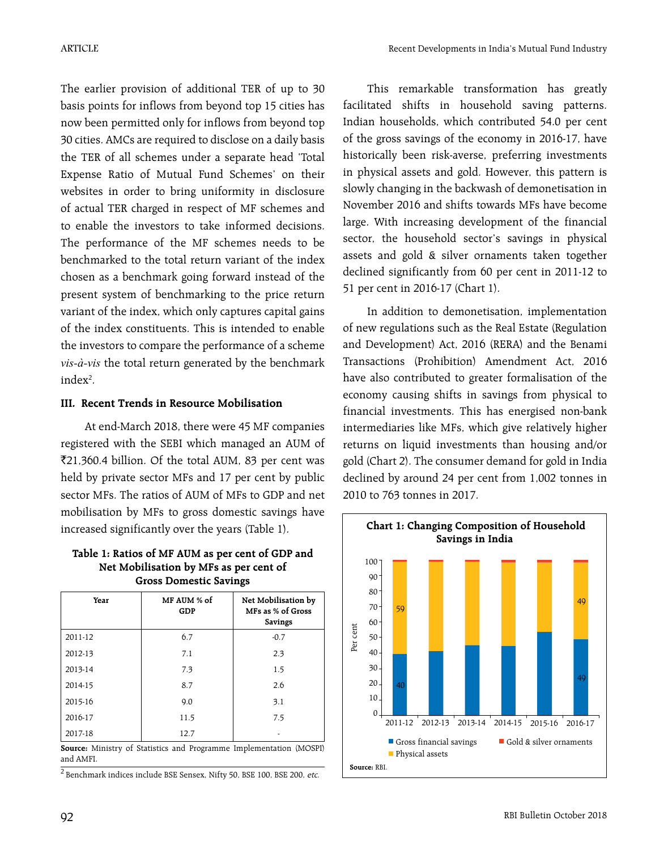The earlier provision of additional TER of up to 30 basis points for inflows from beyond top 15 cities has now been permitted only for inflows from beyond top 30 cities. AMCs are required to disclose on a daily basis the TER of all schemes under a separate head 'Total Expense Ratio of Mutual Fund Schemes' on their websites in order to bring uniformity in disclosure of actual TER charged in respect of MF schemes and to enable the investors to take informed decisions. The performance of the MF schemes needs to be benchmarked to the total return variant of the index chosen as a benchmark going forward instead of the present system of benchmarking to the price return variant of the index, which only captures capital gains of the index constituents. This is intended to enable the investors to compare the performance of a scheme *vis-à-vis* the total return generated by the benchmark index<sup>2</sup>.

## **III. Recent Trends in Resource Mobilisation**

At end-March 2018, there were 45 MF companies registered with the SEBI which managed an AUM of `21,360.4 billion. Of the total AUM, 83 per cent was held by private sector MFs and 17 per cent by public sector MFs. The ratios of AUM of MFs to GDP and net mobilisation by MFs to gross domestic savings have increased significantly over the years (Table 1).

**Table 1: Ratios of MF AUM as per cent of GDP and Net Mobilisation by MFs as per cent of Gross Domestic Savings**

| Year                                                                                                                  | MF AUM % of<br>GDP | Net Mobilisation by<br>MFs as % of Gross<br>Savings |  |  |  |  |
|-----------------------------------------------------------------------------------------------------------------------|--------------------|-----------------------------------------------------|--|--|--|--|
| 2011-12                                                                                                               | 6.7                | $-0.7$                                              |  |  |  |  |
| 2012-13                                                                                                               | 7.1                | 2.3                                                 |  |  |  |  |
| 2013-14                                                                                                               | 7.3                | 1.5                                                 |  |  |  |  |
| 2014-15                                                                                                               | 8.7                | 2.6                                                 |  |  |  |  |
| 2015-16                                                                                                               | 9.0                | 3.1                                                 |  |  |  |  |
| 2016-17                                                                                                               | 11.5               | 7.5                                                 |  |  |  |  |
| 2017-18                                                                                                               | 12.7               |                                                     |  |  |  |  |
| $\mathbf{e}$ Misimum of $\mathbf{e}$ is the second $\mathbf{e}$ and $\mathbf{e}$ is the second second of $\mathbf{e}$ |                    |                                                     |  |  |  |  |

**Source:** Ministry of Statistics and Programme Implementation (MOSPI) and AMFI.

 $^2$  Benchmark indices include BSE Sensex, Nifty 50, BSE 100, BSE 200,  $etc.$ 

This remarkable transformation has greatly facilitated shifts in household saving patterns. Indian households, which contributed 54.0 per cent of the gross savings of the economy in 2016-17, have historically been risk-averse, preferring investments in physical assets and gold. However, this pattern is slowly changing in the backwash of demonetisation in November 2016 and shifts towards MFs have become large. With increasing development of the financial sector, the household sector's savings in physical assets and gold & silver ornaments taken together declined significantly from 60 per cent in 2011-12 to 51 per cent in 2016-17 (Chart 1).

In addition to demonetisation, implementation of new regulations such as the Real Estate (Regulation and Development) Act, 2016 (RERA) and the Benami Transactions (Prohibition) Amendment Act, 2016 have also contributed to greater formalisation of the economy causing shifts in savings from physical to financial investments. This has energised non-bank intermediaries like MFs, which give relatively higher returns on liquid investments than housing and/or gold (Chart 2). The consumer demand for gold in India declined by around 24 per cent from 1,002 tonnes in 2010 to 763 tonnes in 2017.

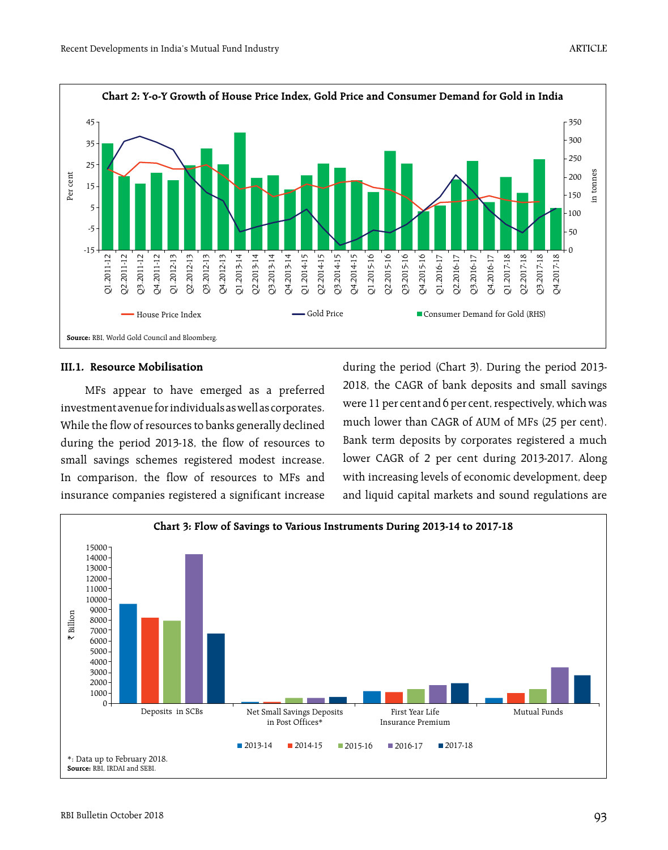

#### **III.1. Resource Mobilisation**

MFs appear to have emerged as a preferred investment avenue for individuals as well as corporates. While the flow of resources to banks generally declined during the period 2013-18, the flow of resources to small savings schemes registered modest increase. In comparison, the flow of resources to MFs and insurance companies registered a significant increase

during the period (Chart 3). During the period 2013- 2018, the CAGR of bank deposits and small savings were 11 per cent and 6 per cent, respectively, which was much lower than CAGR of AUM of MFs (25 per cent). Bank term deposits by corporates registered a much lower CAGR of 2 per cent during 2013-2017. Along with increasing levels of economic development, deep and liquid capital markets and sound regulations are

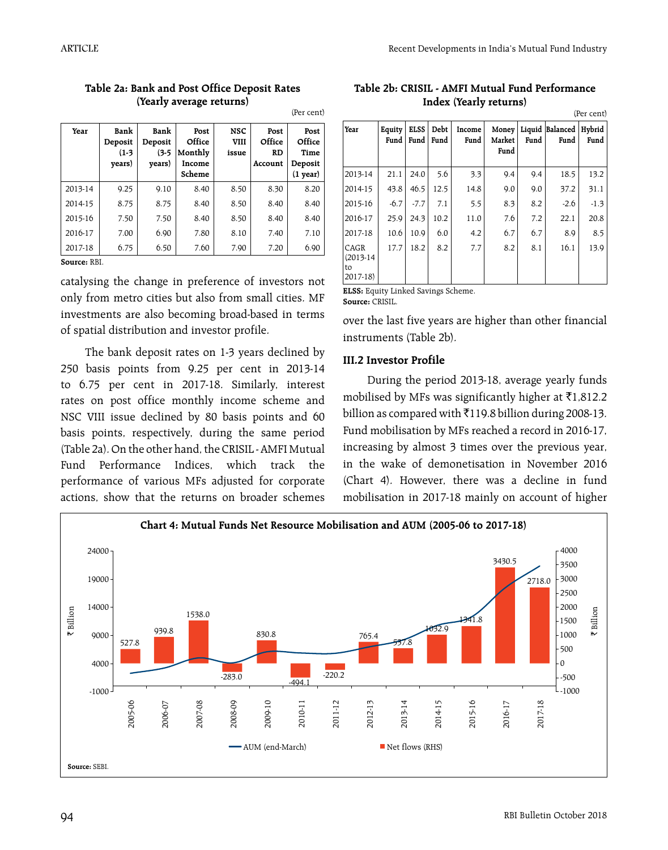| Year    | Bank<br>Deposit<br>$(1-3)$<br>years) | Bank<br>Deposit<br>$(3-5)$<br>years) | Post<br>Office<br>Monthly<br>Income<br>Scheme | NSC<br><b>VIII</b><br>issue | Post<br>Office<br><b>RD</b><br>Account | Post<br>Office<br>Time<br>Deposit<br>$(1$ year) |
|---------|--------------------------------------|--------------------------------------|-----------------------------------------------|-----------------------------|----------------------------------------|-------------------------------------------------|
| 2013-14 | 9.25                                 | 9.10                                 | 8.40                                          | 8.50                        | 8.30                                   | 8.20                                            |
| 2014-15 | 8.75                                 | 8.75                                 | 8.40                                          | 8.50                        | 8.40                                   | 8.40                                            |
| 2015-16 | 7.50                                 | 7.50                                 | 8.40                                          | 8.50                        | 8.40                                   | 8.40                                            |
| 2016-17 | 7.00                                 | 6.90                                 | 7.80                                          | 8.10                        | 7.40                                   | 7.10                                            |
| 2017-18 | 6.75                                 | 6.50                                 | 7.60                                          | 7.90                        | 7.20                                   | 6.90                                            |

#### **Table 2a: Bank and Post Office Deposit Rates (Yearly average returns)** (Per cent)

**Source:** RBI.

catalysing the change in preference of investors not only from metro cities but also from small cities. MF investments are also becoming broad-based in terms of spatial distribution and investor profile.

The bank deposit rates on 1-3 years declined by 250 basis points from 9.25 per cent in 2013-14 to 6.75 per cent in 2017-18. Similarly, interest rates on post office monthly income scheme and NSC VIII issue declined by 80 basis points and 60 basis points, respectively, during the same period (Table 2a). On the other hand, the CRISIL - AMFI Mutual Fund Performance Indices, which track the performance of various MFs adjusted for corporate actions, show that the returns on broader schemes

**Table 2b: CRISIL - AMFI Mutual Fund Performance Index (Yearly returns)**  $(n - \epsilon)$ 

|                                        | trei cellu     |                     |              |                |                         |      |                         |                |
|----------------------------------------|----------------|---------------------|--------------|----------------|-------------------------|------|-------------------------|----------------|
| Year                                   | Equity<br>Fund | <b>ELSS</b><br>Fund | Debt<br>Fund | Income<br>Fund | Money<br>Market<br>Fund | Fund | Liquid Balanced<br>Fund | Hybrid<br>Fund |
| 2013-14                                | 21.1           | 24.0                | 5.6          | 3.3            | 9.4                     | 9.4  | 18.5                    | 13.2           |
| 2014-15                                | 43.8           | 46.5                | 12.5         | 14.8           | 9.0                     | 9.0  | 37.2                    | 31.1           |
| 2015-16                                | $-6.7$         | $-7.7$              | 7.1          | 5.5            | 8.3                     | 8.2  | $-2.6$                  | $-1.3$         |
| 2016-17                                | 25.9           | 24.3                | 10.2         | 11.0           | 7.6                     | 7.2  | 22.1                    | 20.8           |
| 2017-18                                | 10.6           | 10.9                | 6.0          | 4.2            | 6.7                     | 6.7  | 8.9                     | 8.5            |
| CAGR<br>$(2013-14)$<br>to<br>$2017-18$ | 17.7           | 18.2                | 8.2          | 7.7            | 8.2                     | 8.1  | 16.1                    | 13.9           |

**ELSS:** Equity Linked Savings Scheme. **Source:** CRISIL.

over the last five years are higher than other financial instruments (Table 2b).

## **III.2 Investor Profile**

During the period 2013-18, average yearly funds mobilised by MFs was significantly higher at  $\bar{\tau}$ 1,812.2 billion as compared with  $\bar{x}$ 119.8 billion during 2008-13. Fund mobilisation by MFs reached a record in 2016-17, increasing by almost 3 times over the previous year, in the wake of demonetisation in November 2016 (Chart 4). However, there was a decline in fund mobilisation in 2017-18 mainly on account of higher

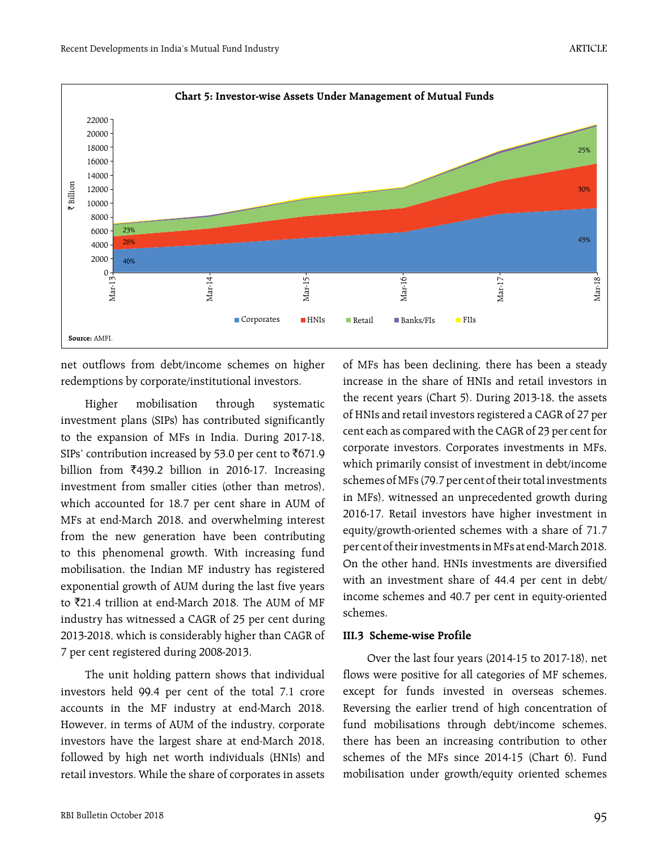

net outflows from debt/income schemes on higher redemptions by corporate/institutional investors.

Higher mobilisation through systematic investment plans (SIPs) has contributed significantly to the expansion of MFs in India. During 2017-18, SIPs' contribution increased by 53.0 per cent to  $\bar{C}$ 671.9 billion from  $\overline{5}439.2$  billion in 2016-17. Increasing investment from smaller cities (other than metros), which accounted for 18.7 per cent share in AUM of MFs at end-March 2018, and overwhelming interest from the new generation have been contributing to this phenomenal growth. With increasing fund mobilisation, the Indian MF industry has registered exponential growth of AUM during the last five years to ₹21.4 trillion at end-March 2018. The AUM of MF industry has witnessed a CAGR of 25 per cent during 2013-2018, which is considerably higher than CAGR of 7 per cent registered during 2008-2013.

The unit holding pattern shows that individual investors held 99.4 per cent of the total 7.1 crore accounts in the MF industry at end-March 2018. However, in terms of AUM of the industry, corporate investors have the largest share at end-March 2018, followed by high net worth individuals (HNIs) and retail investors. While the share of corporates in assets of MFs has been declining, there has been a steady increase in the share of HNIs and retail investors in the recent years (Chart 5). During 2013-18, the assets of HNIs and retail investors registered a CAGR of 27 per cent each as compared with the CAGR of 23 per cent for corporate investors. Corporates investments in MFs, which primarily consist of investment in debt/income schemes of MFs (79.7 per cent of their total investments in MFs), witnessed an unprecedented growth during 2016-17. Retail investors have higher investment in equity/growth-oriented schemes with a share of 71.7 per cent of their investments in MFs at end-March 2018. On the other hand, HNIs investments are diversified with an investment share of 44.4 per cent in debt/ income schemes and 40.7 per cent in equity-oriented schemes.

#### **III.3 Scheme-wise Profile**

Over the last four years (2014-15 to 2017-18), net flows were positive for all categories of MF schemes, except for funds invested in overseas schemes. Reversing the earlier trend of high concentration of fund mobilisations through debt/income schemes, there has been an increasing contribution to other schemes of the MFs since 2014-15 (Chart 6). Fund mobilisation under growth/equity oriented schemes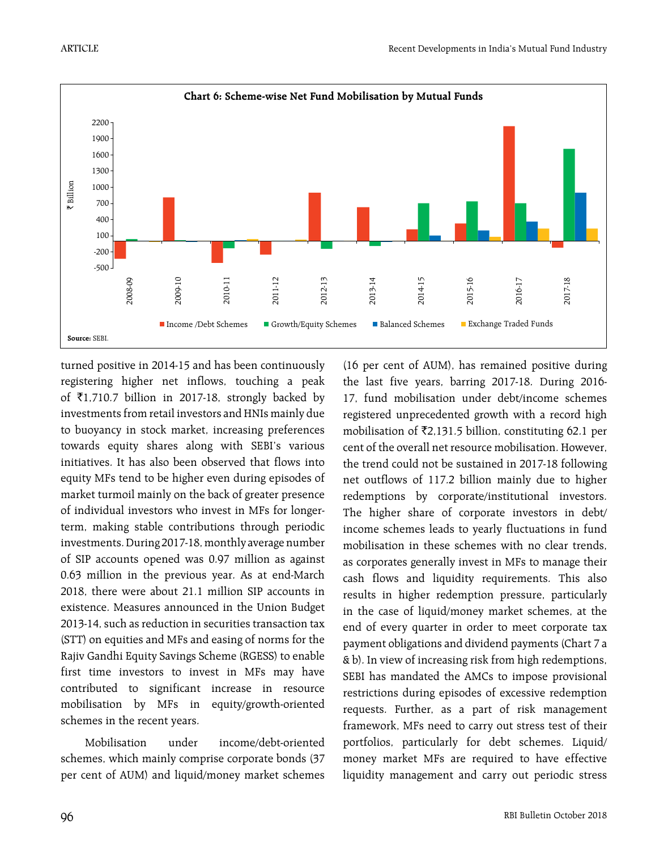

turned positive in 2014-15 and has been continuously registering higher net inflows, touching a peak of  $\bar{\tau}$ 1,710.7 billion in 2017-18, strongly backed by investments from retail investors and HNIs mainly due to buoyancy in stock market, increasing preferences towards equity shares along with SEBI's various initiatives. It has also been observed that flows into equity MFs tend to be higher even during episodes of market turmoil mainly on the back of greater presence of individual investors who invest in MFs for longerterm, making stable contributions through periodic investments. During 2017-18, monthly average number of SIP accounts opened was 0.97 million as against 0.63 million in the previous year. As at end-March 2018, there were about 21.1 million SIP accounts in existence. Measures announced in the Union Budget 2013-14, such as reduction in securities transaction tax (STT) on equities and MFs and easing of norms for the Rajiv Gandhi Equity Savings Scheme (RGESS) to enable first time investors to invest in MFs may have contributed to significant increase in resource mobilisation by MFs in equity/growth-oriented schemes in the recent years.

Mobilisation under income/debt-oriented schemes, which mainly comprise corporate bonds (37 per cent of AUM) and liquid/money market schemes (16 per cent of AUM), has remained positive during the last five years, barring 2017-18. During 2016- 17, fund mobilisation under debt/income schemes registered unprecedented growth with a record high mobilisation of  $\bar{\tau}$ 2,131.5 billion, constituting 62.1 per cent of the overall net resource mobilisation. However, the trend could not be sustained in 2017-18 following net outflows of 117.2 billion mainly due to higher redemptions by corporate/institutional investors. The higher share of corporate investors in debt/ income schemes leads to yearly fluctuations in fund mobilisation in these schemes with no clear trends, as corporates generally invest in MFs to manage their cash flows and liquidity requirements. This also results in higher redemption pressure, particularly in the case of liquid/money market schemes, at the end of every quarter in order to meet corporate tax payment obligations and dividend payments (Chart 7 a & b). In view of increasing risk from high redemptions, SEBI has mandated the AMCs to impose provisional restrictions during episodes of excessive redemption requests. Further, as a part of risk management framework, MFs need to carry out stress test of their portfolios, particularly for debt schemes. Liquid/ money market MFs are required to have effective liquidity management and carry out periodic stress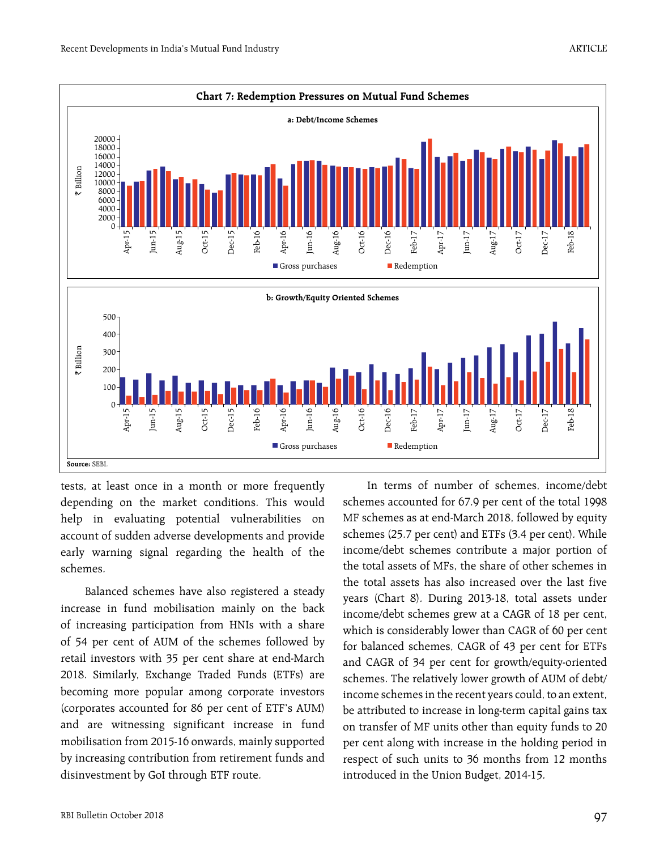

tests, at least once in a month or more frequently depending on the market conditions. This would help in evaluating potential vulnerabilities on account of sudden adverse developments and provide early warning signal regarding the health of the schemes.

Balanced schemes have also registered a steady increase in fund mobilisation mainly on the back of increasing participation from HNIs with a share of 54 per cent of AUM of the schemes followed by retail investors with 35 per cent share at end-March 2018. Similarly, Exchange Traded Funds (ETFs) are becoming more popular among corporate investors (corporates accounted for 86 per cent of ETF's AUM) and are witnessing significant increase in fund mobilisation from 2015-16 onwards, mainly supported by increasing contribution from retirement funds and disinvestment by GoI through ETF route.

In terms of number of schemes, income/debt schemes accounted for 67.9 per cent of the total 1998 MF schemes as at end-March 2018, followed by equity schemes (25.7 per cent) and ETFs (3.4 per cent). While income/debt schemes contribute a major portion of the total assets of MFs, the share of other schemes in the total assets has also increased over the last five years (Chart 8). During 2013-18, total assets under income/debt schemes grew at a CAGR of 18 per cent, which is considerably lower than CAGR of 60 per cent for balanced schemes, CAGR of 43 per cent for ETFs and CAGR of 34 per cent for growth/equity-oriented schemes. The relatively lower growth of AUM of debt/ income schemes in the recent years could, to an extent, be attributed to increase in long-term capital gains tax on transfer of MF units other than equity funds to 20 per cent along with increase in the holding period in respect of such units to 36 months from 12 months introduced in the Union Budget, 2014-15.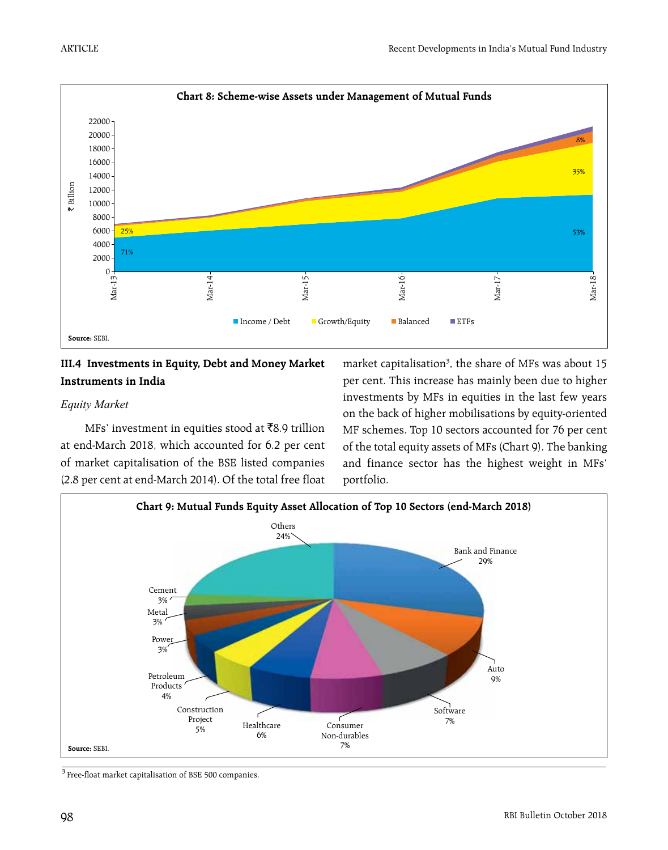

# **III.4 Investments in Equity, Debt and Money Market Instruments in India**

## *Equity Market*

MFs' investment in equities stood at  $\bar{\tau}8.9$  trillion at end-March 2018, which accounted for 6.2 per cent of market capitalisation of the BSE listed companies (2.8 per cent at end-March 2014). Of the total free float

market capitalisation<sup>3</sup>, the share of MFs was about 15 per cent. This increase has mainly been due to higher investments by MFs in equities in the last few years on the back of higher mobilisations by equity-oriented MF schemes. Top 10 sectors accounted for 76 per cent of the total equity assets of MFs (Chart 9). The banking and finance sector has the highest weight in MFs' portfolio.



3 Free-float market capitalisation of BSE 500 companies.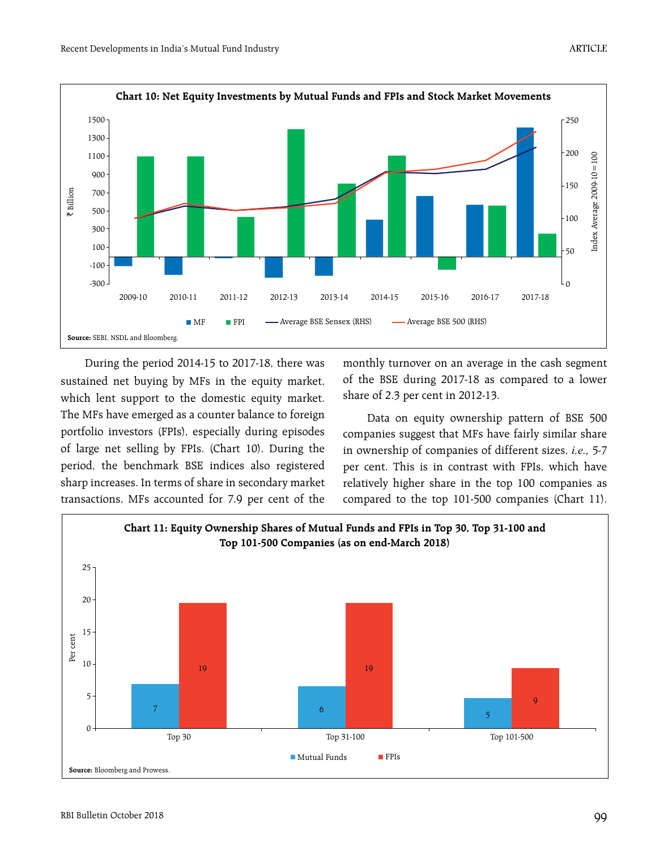

During the period 2014-15 to 2017-18, there was sustained net buying by MFs in the equity market, which lent support to the domestic equity market. The MFs have emerged as a counter balance to foreign portfolio investors (FPIs), especially during episodes of large net selling by FPIs. (Chart 10). During the period, the benchmark BSE indices also registered sharp increases. In terms of share in secondary market transactions, MFs accounted for 7.9 per cent of the monthly turnover on an average in the cash segment of the BSE during 2017-18 as compared to a lower share of 2.3 per cent in 2012-13.

Data on equity ownership pattern of BSE 500 companies suggest that MFs have fairly similar share in ownership of companies of different sizes, *i.e.,* 5-7 per cent. This is in contrast with FPIs, which have relatively higher share in the top 100 companies as compared to the top 101-500 companies (Chart 11).

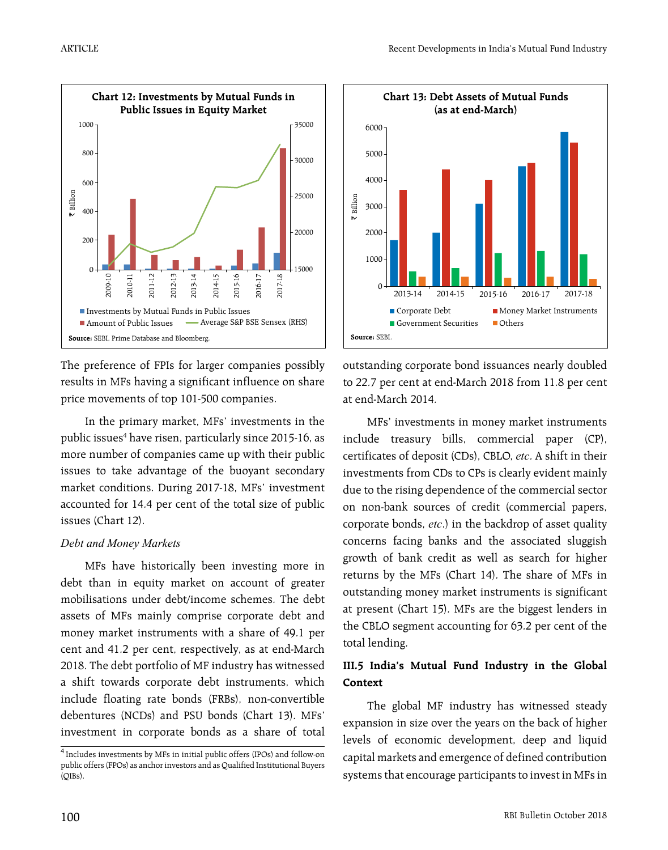

The preference of FPIs for larger companies possibly results in MFs having a significant influence on share price movements of top 101-500 companies.

In the primary market, MFs' investments in the public issues<sup>4</sup> have risen, particularly since 2015-16, as more number of companies came up with their public issues to take advantage of the buoyant secondary market conditions. During 2017-18, MFs' investment accounted for 14.4 per cent of the total size of public issues (Chart 12).

## *Debt and Money Markets*

MFs have historically been investing more in debt than in equity market on account of greater mobilisations under debt/income schemes. The debt assets of MFs mainly comprise corporate debt and money market instruments with a share of 49.1 per cent and 41.2 per cent, respectively, as at end-March 2018. The debt portfolio of MF industry has witnessed a shift towards corporate debt instruments, which include floating rate bonds (FRBs), non-convertible debentures (NCDs) and PSU bonds (Chart 13). MFs' investment in corporate bonds as a share of total



outstanding corporate bond issuances nearly doubled to 22.7 per cent at end-March 2018 from 11.8 per cent at end-March 2014.

MFs' investments in money market instruments include treasury bills, commercial paper (CP), certificates of deposit (CDs), CBLO, *etc*. A shift in their investments from CDs to CPs is clearly evident mainly due to the rising dependence of the commercial sector on non-bank sources of credit (commercial papers, corporate bonds, *etc*.) in the backdrop of asset quality concerns facing banks and the associated sluggish growth of bank credit as well as search for higher returns by the MFs (Chart 14). The share of MFs in outstanding money market instruments is significant at present (Chart 15). MFs are the biggest lenders in the CBLO segment accounting for 63.2 per cent of the total lending.

## **III.5 India's Mutual Fund Industry in the Global Context**

The global MF industry has witnessed steady expansion in size over the years on the back of higher levels of economic development, deep and liquid capital markets and emergence of defined contribution systems that encourage participants to invest in MFs in

<sup>4</sup> Includes investments by MFs in initial public offers (IPOs) and follow-on public offers (FPOs) as anchor investors and as Qualified Institutional Buyers (QIBs).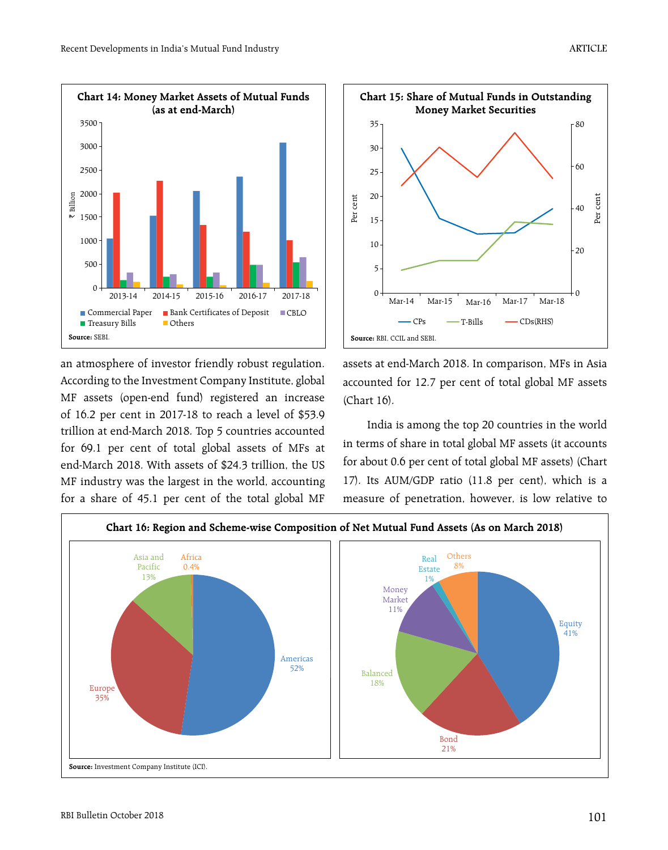

an atmosphere of investor friendly robust regulation. According to the Investment Company Institute, global MF assets (open-end fund) registered an increase of 16.2 per cent in 2017-18 to reach a level of \$53.9 trillion at end-March 2018. Top 5 countries accounted for 69.1 per cent of total global assets of MFs at end-March 2018. With assets of \$24.3 trillion, the US MF industry was the largest in the world, accounting for a share of 45.1 per cent of the total global MF



assets at end-March 2018. In comparison, MFs in Asia accounted for 12.7 per cent of total global MF assets (Chart 16).

India is among the top 20 countries in the world in terms of share in total global MF assets (it accounts for about 0.6 per cent of total global MF assets) (Chart 17). Its AUM/GDP ratio (11.8 per cent), which is a measure of penetration, however, is low relative to

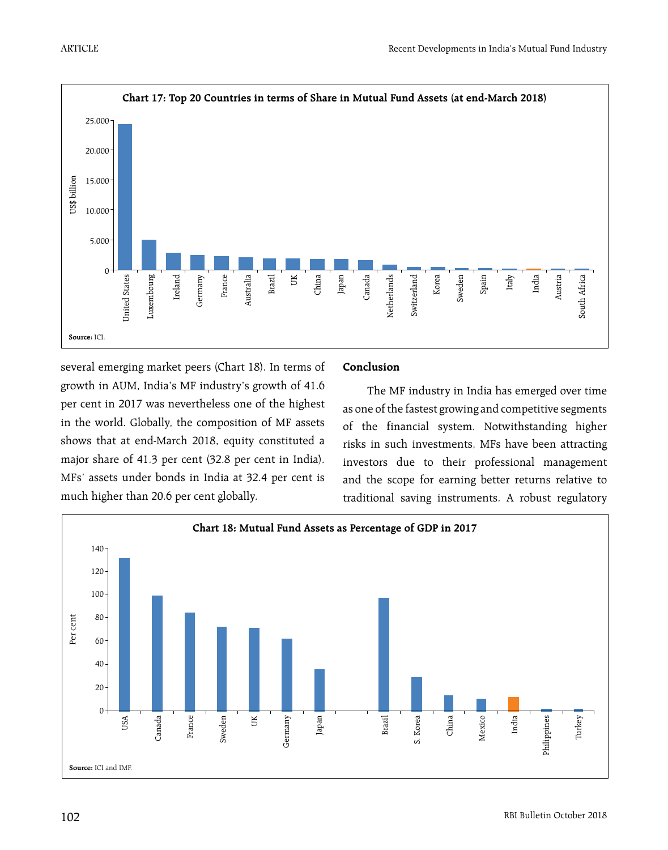

several emerging market peers (Chart 18). In terms of growth in AUM, India's MF industry's growth of 41.6 per cent in 2017 was nevertheless one of the highest in the world. Globally, the composition of MF assets shows that at end-March 2018, equity constituted a major share of 41.3 per cent (32.8 per cent in India). MFs' assets under bonds in India at 32.4 per cent is much higher than 20.6 per cent globally.

## **Conclusion**

The MF industry in India has emerged over time as one of the fastest growing and competitive segments of the financial system. Notwithstanding higher risks in such investments, MFs have been attracting investors due to their professional management and the scope for earning better returns relative to traditional saving instruments. A robust regulatory